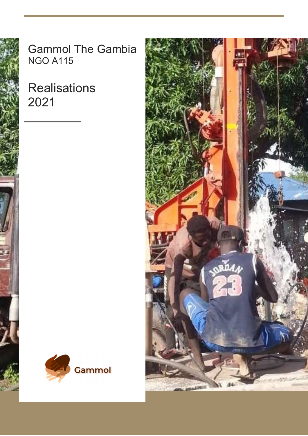

**Gammol The Gambia NGO A115** 

**Realisations** 2021